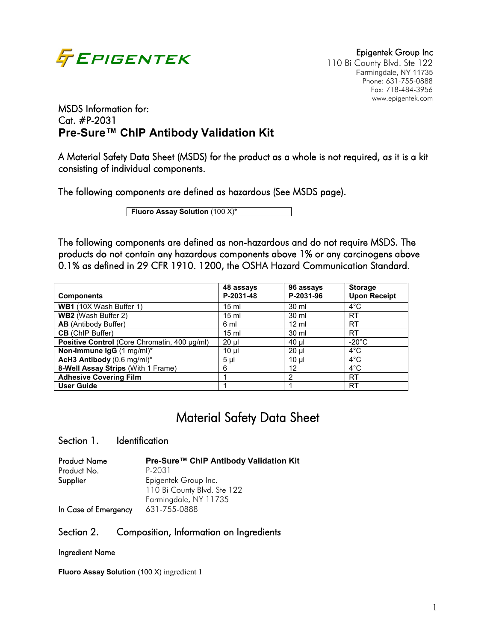

110 Bi County Blvd. Ste 122 Phone: 631-755-0888 Fax: 718-484-3956 www.epigentek.com

# MSDS Information for: Cat. #P-2031 **Pre-Sure™ ChIP Antibody Validation Kit**

A Material Safety Data Sheet (MSDS) for the product as a whole is not required, as it is a kit consisting of individual components.

The following components are defined as hazardous (See MSDS page).

**Fluoro Assay Solution (100 X)\*** 

The following components are defined as non-hazardous and do not require MSDS. The products do not contain any hazardous components above 1% or any carcinogens above 0.1% as defined in 29 CFR 1910. 1200, the OSHA Hazard Communication Standard.

| <b>Components</b>                            | 48 assays<br>P-2031-48 | 96 assays<br>P-2031-96 | <b>Storage</b><br><b>Upon Receipt</b> |
|----------------------------------------------|------------------------|------------------------|---------------------------------------|
| WB1 (10X Wash Buffer 1)                      | $15 \text{ ml}$        | 30 ml                  | $4^{\circ}$ C                         |
| <b>WB2</b> (Wash Buffer 2)                   | $15 \text{ ml}$        | 30 ml                  | <b>RT</b>                             |
| <b>AB</b> (Antibody Buffer)                  | 6 ml                   | $12 \text{ ml}$        | <b>RT</b>                             |
| <b>CB</b> (ChIP Buffer)                      | $15 \text{ ml}$        | 30 ml                  | RT                                    |
| Positive Control (Core Chromatin, 400 µg/ml) | $20 \mu$               | $40 \mu$               | $-20^{\circ}$ C                       |
| Non-Immune IgG (1 mg/ml)*                    | $10 \mu$               | $20 \mu$               | $4^{\circ}$ C                         |
| AcH3 Antibody (0.6 mg/ml)*                   | 5 <sub>µ</sub>         | $10 \mu$               | $4^{\circ}$ C                         |
| 8-Well Assay Strips (With 1 Frame)           | 6                      | 12                     | $4^{\circ}$ C                         |
| <b>Adhesive Covering Film</b>                |                        | $\mathcal{P}$          | RT                                    |
| <b>User Guide</b>                            |                        |                        | RT                                    |

# Material Safety Data Sheet

### Section 1. Identification

| <b>Product Name</b>  | Pre-Sure™ ChIP Antibody Validation Kit |
|----------------------|----------------------------------------|
| Product No.          | P-2031                                 |
| Supplier             | Epigentek Group Inc.                   |
|                      | 110 Bi County Blvd. Ste 122            |
|                      | Farmingdale, NY 11735                  |
| In Case of Emergency | 631-755-0888                           |

### Section 2. Composition, Information on Ingredients

#### Ingredient Name

**Fluoro Assay Solution** (100 X) ingredient 1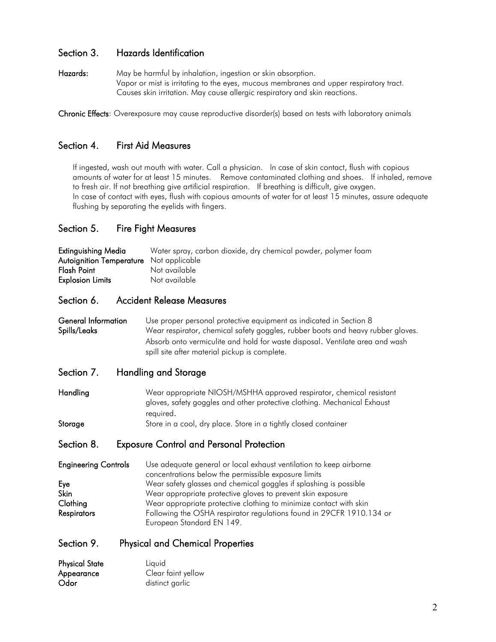# Section 3. Hazards Identification

Hazards: May be harmful by inhalation, ingestion or skin absorption. Vapor or mist is irritating to the eyes, mucous membranes and upper respiratory tract. Causes skin irritation. May cause allergic respiratory and skin reactions.

Chronic Effects: Overexposure may cause reproductive disorder(s) based on tests with laboratory animals

# Section 4. First Aid Measures

If ingested, wash out mouth with water. Call a physician. In case of skin contact, flush with copious amounts of water for at least 15 minutes. Remove contaminated clothing and shoes. If inhaled, remove to fresh air. If not breathing give artificial respiration. If breathing is difficult, give oxygen. In case of contact with eyes, flush with copious amounts of water for at least 15 minutes, assure adequate flushing by separating the eyelids with fingers.

# Section 5. Fire Fight Measures

| Extinguishing Media                            | Water spray, carbon dioxide, dry chemical powder, polymer foam |
|------------------------------------------------|----------------------------------------------------------------|
| <b>Autoignition Temperature</b> Not applicable |                                                                |
| Flash Point                                    | Not available                                                  |
| <b>Explosion Limits</b>                        | Not available                                                  |

### Section 6. Accident Release Measures

General Information Use proper personal protective equipment as indicated in Section 8 Spills/Leaks Wear respirator, chemical safety goggles, rubber boots and heavy rubber gloves. Absorb onto vermiculite and hold for waste disposal. Ventilate area and wash spill site after material pickup is complete.

### Section 7. Handling and Storage

Handling Wear appropriate NIOSH/MSHHA approved respirator, chemical resistant gloves, safety goggles and other protective clothing. Mechanical Exhaust required. Storage Store in a cool, dry place. Store in a tightly closed container

# Section 8. Exposure Control and Personal Protection

Engineering Controls Use adequate general or local exhaust ventilation to keep airborne concentrations below the permissible exposure limits Eye Wear safety glasses and chemical goggles if splashing is possible Skin Wear appropriate protective gloves to prevent skin exposure Clothing Wear appropriate protective clothing to minimize contact with skin Respirators Following the OSHA respirator regulations found in 29CFR 1910.134 or European Standard EN 149.

### Section 9. Physical and Chemical Properties

| <b>Physical State</b> | Liquid             |
|-----------------------|--------------------|
| Appearance            | Clear faint yellow |
| Odor                  | distinct garlic    |